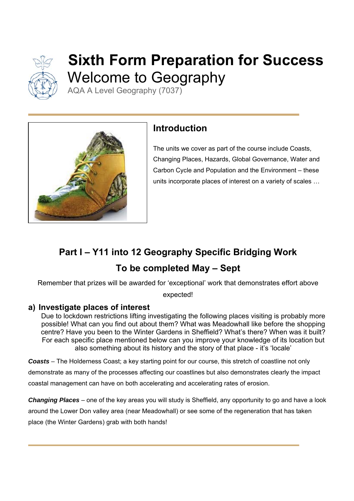

# **Sixth Form Preparation for Success**  Welcome to Geography

AQA A Level Geography (7037)



## **Introduction**

The units we cover as part of the course include Coasts, Changing Places, Hazards, Global Governance, Water and Carbon Cycle and Population and the Environment – these units incorporate places of interest on a variety of scales …

## **Part I – Y11 into 12 Geography Specific Bridging Work To be completed May – Sept**

Remember that prizes will be awarded for 'exceptional' work that demonstrates effort above

expected!

## **a) Investigate places of interest**

Due to lockdown restrictions lifting investigating the following places visiting is probably more possible! What can you find out about them? What was Meadowhall like before the shopping centre? Have you been to the Winter Gardens in Sheffield? What's there? When was it built? For each specific place mentioned below can you improve your knowledge of its location but also something about its history and the story of that place - it's 'locale'

*Coasts –* The Holderness Coast; a key starting point for our course, this stretch of coastline not only

demonstrate as many of the processes affecting our coastlines but also demonstrates clearly the impact coastal management can have on both accelerating and accelerating rates of erosion.

*Changing Places* – one of the key areas you will study is Sheffield, any opportunity to go and have a look around the Lower Don valley area (near Meadowhall) or see some of the regeneration that has taken place (the Winter Gardens) grab with both hands!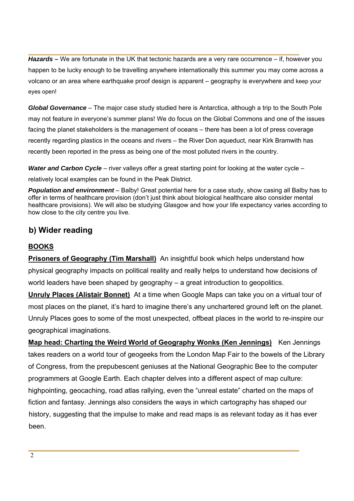*Hazards* – We are fortunate in the UK that tectonic hazards are a very rare occurrence – if, however you happen to be lucky enough to be travelling anywhere internationally this summer you may come across a volcano or an area where earthquake proof design is apparent – geography is everywhere and keep your eyes open!

*Global Governance* – The major case study studied here is Antarctica, although a trip to the South Pole may not feature in everyone's summer plans! We do focus on the Global Commons and one of the issues facing the planet stakeholders is the management of oceans – there has been a lot of press coverage recently regarding plastics in the oceans and rivers – the River Don aqueduct, near Kirk Bramwith has recently been reported in the press as being one of the most polluted rivers in the country.

*Water and Carbon Cycle* – river valleys offer a great starting point for looking at the water cycle – relatively local examples can be found in the Peak District.

*Population and environment* – Balby! Great potential here for a case study, show casing all Balby has to offer in terms of healthcare provision (don't just think about biological healthcare also consider mental healthcare provisions). We will also be studying Glasgow and how your life expectancy varies according to how close to the city centre you live.

### **b) Wider reading**

#### **BOOKS**

**Prisoners of Geography (Tim Marshall)** An insightful book which helps understand how physical geography impacts on political reality and really helps to understand how decisions of world leaders have been shaped by geography – a great introduction to geopolitics.

**Unruly Places (Alistair Bonnet)** At a time when Google Maps can take you on a virtual tour of most places on the planet, it's hard to imagine there's any unchartered ground left on the planet. Unruly Places goes to some of the most unexpected, offbeat places in the world to re-inspire our geographical imaginations.

**Map head: Charting the Weird World of Geography Wonks (Ken Jennings)** Ken Jennings takes readers on a world tour of geogeeks from the London Map Fair to the bowels of the Library of Congress, from the prepubescent geniuses at the National Geographic Bee to the computer programmers at Google Earth. Each chapter delves into a different aspect of map culture: highpointing, geocaching, road atlas rallying, even the "unreal estate" charted on the maps of fiction and fantasy. Jennings also considers the ways in which cartography has shaped our history, suggesting that the impulse to make and read maps is as relevant today as it has ever been.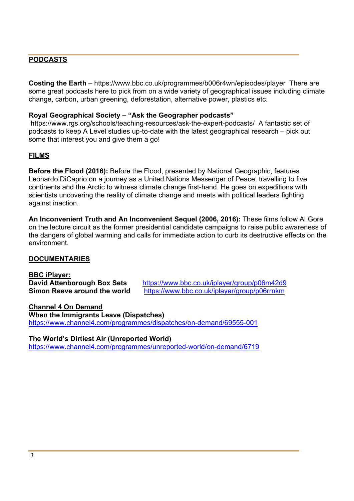#### **PODCASTS**

**Costing the Earth** – https://www.bbc.co.uk/programmes/b006r4wn/episodes/player There are some great podcasts here to pick from on a wide variety of geographical issues including climate change, carbon, urban greening, deforestation, alternative power, plastics etc.

#### **Royal Geographical Society – "Ask the Geographer podcasts"**

 https://www.rgs.org/schools/teaching-resources/ask-the-expert-podcasts/ A fantastic set of podcasts to keep A Level studies up-to-date with the latest geographical research – pick out some that interest you and give them a go!

#### **FILMS**

**Before the Flood (2016):** Before the Flood, presented by National Geographic, features Leonardo DiCaprio on a journey as a United Nations Messenger of Peace, travelling to five continents and the Arctic to witness climate change first-hand. He goes on expeditions with scientists uncovering the reality of climate change and meets with political leaders fighting against inaction.

**An Inconvenient Truth and An Inconvenient Sequel (2006, 2016):** These films follow Al Gore on the lecture circuit as the former presidential candidate campaigns to raise public awareness of the dangers of global warming and calls for immediate action to curb its destructive effects on the environment.

#### **DOCUMENTARIES**

**BBC iPlayer:** 

**David Attenborough Box Sets** https://www.bbc.co.uk/iplayer/group/p06m42d9 **Simon Reeve around the world** https://www.bbc.co.uk/iplayer/group/p06rrnkm

**Channel 4 On Demand When the Immigrants Leave (Dispatches)** https://www.channel4.com/programmes/dispatches/on-demand/69555-001

**The World's Dirtiest Air (Unreported World)** https://www.channel4.com/programmes/unreported-world/on-demand/6719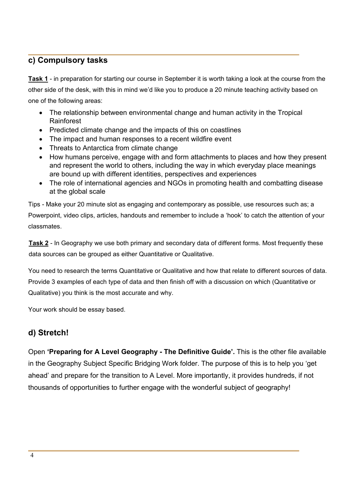### **c) Compulsory tasks**

**Task 1** - in preparation for starting our course in September it is worth taking a look at the course from the other side of the desk, with this in mind we'd like you to produce a 20 minute teaching activity based on one of the following areas:

- The relationship between environmental change and human activity in the Tropical Rainforest
- Predicted climate change and the impacts of this on coastlines
- The impact and human responses to a recent wildfire event
- Threats to Antarctica from climate change
- How humans perceive, engage with and form attachments to places and how they present and represent the world to others, including the way in which everyday place meanings are bound up with different identities, perspectives and experiences
- The role of international agencies and NGOs in promoting health and combatting disease at the global scale

Tips - Make your 20 minute slot as engaging and contemporary as possible, use resources such as; a Powerpoint, video clips, articles, handouts and remember to include a 'hook' to catch the attention of your classmates.

**Task 2** - In Geography we use both primary and secondary data of different forms. Most frequently these data sources can be grouped as either Quantitative or Qualitative.

You need to research the terms Quantitative or Qualitative and how that relate to different sources of data. Provide 3 examples of each type of data and then finish off with a discussion on which (Quantitative or Qualitative) you think is the most accurate and why.

Your work should be essay based.

## **d) Stretch!**

Open **'Preparing for A Level Geography - The Definitive Guide'.** This is the other file available in the Geography Subject Specific Bridging Work folder. The purpose of this is to help you 'get ahead' and prepare for the transition to A Level. More importantly, it provides hundreds, if not thousands of opportunities to further engage with the wonderful subject of geography!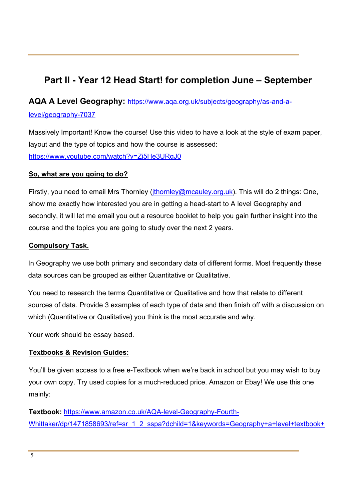## **Part II - Year 12 Head Start! for completion June – September**

## **AQA A Level Geography:** https://www.aqa.org.uk/subjects/geography/as-and-alevel/geography-7037

Massively Important! Know the course! Use this video to have a look at the style of exam paper, layout and the type of topics and how the course is assessed: https://www.youtube.com/watch?v=Zi5He3URgJ0

#### **So, what are you going to do?**

Firstly, you need to email Mrs Thornley (*jthornley@mcauley.org.uk*). This will do 2 things: One, show me exactly how interested you are in getting a head-start to A level Geography and secondly, it will let me email you out a resource booklet to help you gain further insight into the course and the topics you are going to study over the next 2 years.

#### **Compulsory Task.**

In Geography we use both primary and secondary data of different forms. Most frequently these data sources can be grouped as either Quantitative or Qualitative.

You need to research the terms Quantitative or Qualitative and how that relate to different sources of data. Provide 3 examples of each type of data and then finish off with a discussion on which (Quantitative or Qualitative) you think is the most accurate and why.

Your work should be essay based.

#### **Textbooks & Revision Guides:**

You'll be given access to a free e-Textbook when we're back in school but you may wish to buy your own copy. Try used copies for a much-reduced price. Amazon or Ebay! We use this one mainly:

**Textbook:** https://www.amazon.co.uk/AQA-level-Geography-Fourth-Whittaker/dp/1471858693/ref=sr\_1\_2\_sspa?dchild=1&keywords=Geography+a+level+textbook+